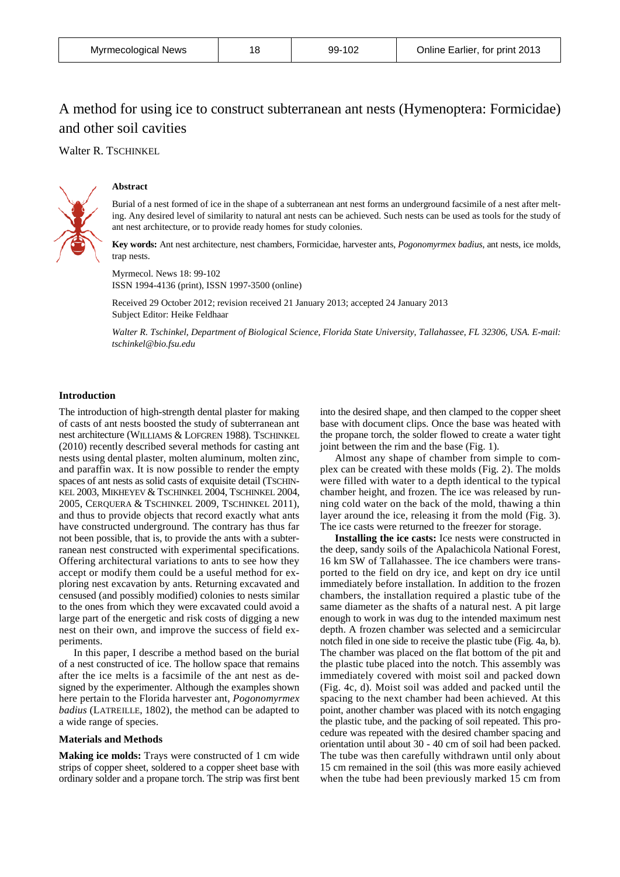| Myrmecological News |  | 99-102 | Online Earlier, for print 2013 |
|---------------------|--|--------|--------------------------------|
|---------------------|--|--------|--------------------------------|

# A method for using ice to construct subterranean ant nests (Hymenoptera: Formicidae) and other soil cavities

Walter R. TSCHINKEL



# **Abstract**

Burial of a nest formed of ice in the shape of a subterranean ant nest forms an underground facsimile of a nest after melting. Any desired level of similarity to natural ant nests can be achieved. Such nests can be used as tools for the study of ant nest architecture, or to provide ready homes for study colonies.

**Key words:** Ant nest architecture, nest chambers, Formicidae, harvester ants, *Pogonomyrmex badius*, ant nests, ice molds, trap nests.

Myrmecol. News 18: 99-102 ISSN 1994-4136 (print), ISSN 1997-3500 (online)

Received 29 October 2012; revision received 21 January 2013; accepted 24 January 2013 Subject Editor: Heike Feldhaar

*Walter R. Tschinkel*, *Department of Biological Science*, *Florida State University*, *Tallahassee*, *FL 32306, USA. E-mail: tschinkel@bio.fsu.edu*

## **Introduction**

The introduction of high-strength dental plaster for making of casts of ant nests boosted the study of subterranean ant nest architecture (WILLIAMS & LOFGREN 1988). TSCHINKEL (2010) recently described several methods for casting ant nests using dental plaster, molten aluminum, molten zinc, and paraffin wax. It is now possible to render the empty spaces of ant nests as solid casts of exquisite detail (TSCHIN-KEL 2003, MIKHEYEV & TSCHINKEL 2004, TSCHINKEL 2004, 2005, CERQUERA & TSCHINKEL 2009, TSCHINKEL 2011), and thus to provide objects that record exactly what ants have constructed underground. The contrary has thus far not been possible, that is, to provide the ants with a subterranean nest constructed with experimental specifications. Offering architectural variations to ants to see how they accept or modify them could be a useful method for exploring nest excavation by ants. Returning excavated and censused (and possibly modified) colonies to nests similar to the ones from which they were excavated could avoid a large part of the energetic and risk costs of digging a new nest on their own, and improve the success of field experiments.

In this paper, I describe a method based on the burial of a nest constructed of ice. The hollow space that remains after the ice melts is a facsimile of the ant nest as designed by the experimenter. Although the examples shown here pertain to the Florida harvester ant, *Pogonomyrmex badius* (LATREILLE, 1802), the method can be adapted to a wide range of species.

### **Materials and Methods**

**Making ice molds:** Trays were constructed of 1 cm wide strips of copper sheet, soldered to a copper sheet base with ordinary solder and a propane torch. The strip was first bent

into the desired shape, and then clamped to the copper sheet base with document clips. Once the base was heated with the propane torch, the solder flowed to create a water tight joint between the rim and the base (Fig. 1).

Almost any shape of chamber from simple to complex can be created with these molds (Fig. 2). The molds were filled with water to a depth identical to the typical chamber height, and frozen. The ice was released by running cold water on the back of the mold, thawing a thin layer around the ice, releasing it from the mold (Fig. 3). The ice casts were returned to the freezer for storage.

**Installing the ice casts:** Ice nests were constructed in the deep, sandy soils of the Apalachicola National Forest, 16 km SW of Tallahassee. The ice chambers were transported to the field on dry ice, and kept on dry ice until immediately before installation. In addition to the frozen chambers, the installation required a plastic tube of the same diameter as the shafts of a natural nest. A pit large enough to work in was dug to the intended maximum nest depth. A frozen chamber was selected and a semicircular notch filed in one side to receive the plastic tube (Fig. 4a, b). The chamber was placed on the flat bottom of the pit and the plastic tube placed into the notch. This assembly was immediately covered with moist soil and packed down (Fig. 4c, d). Moist soil was added and packed until the spacing to the next chamber had been achieved. At this point, another chamber was placed with its notch engaging the plastic tube, and the packing of soil repeated. This procedure was repeated with the desired chamber spacing and orientation until about 30 - 40 cm of soil had been packed. The tube was then carefully withdrawn until only about 15 cm remained in the soil (this was more easily achieved when the tube had been previously marked 15 cm from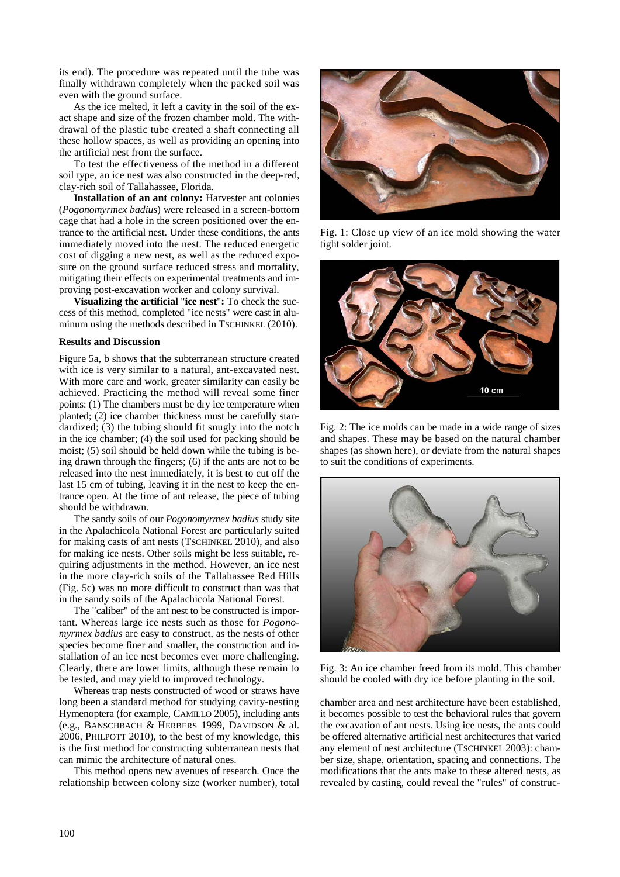its end). The procedure was repeated until the tube was finally withdrawn completely when the packed soil was even with the ground surface.

As the ice melted, it left a cavity in the soil of the exact shape and size of the frozen chamber mold. The withdrawal of the plastic tube created a shaft connecting all these hollow spaces, as well as providing an opening into the artificial nest from the surface.

To test the effectiveness of the method in a different soil type, an ice nest was also constructed in the deep-red, clay-rich soil of Tallahassee, Florida.

**Installation of an ant colony:** Harvester ant colonies (*Pogonomyrmex badius*) were released in a screen-bottom cage that had a hole in the screen positioned over the entrance to the artificial nest. Under these conditions, the ants immediately moved into the nest. The reduced energetic cost of digging a new nest, as well as the reduced exposure on the ground surface reduced stress and mortality, mitigating their effects on experimental treatments and improving post-excavation worker and colony survival.

**Visualizing the artificial** "**ice nest**"**:** To check the success of this method, completed "ice nests" were cast in aluminum using the methods described in TSCHINKEL (2010).

## **Results and Discussion**

Figure 5a, b shows that the subterranean structure created with ice is very similar to a natural, ant-excavated nest. With more care and work, greater similarity can easily be achieved. Practicing the method will reveal some finer points: (1) The chambers must be dry ice temperature when planted; (2) ice chamber thickness must be carefully standardized; (3) the tubing should fit snugly into the notch in the ice chamber; (4) the soil used for packing should be moist; (5) soil should be held down while the tubing is being drawn through the fingers; (6) if the ants are not to be released into the nest immediately, it is best to cut off the last 15 cm of tubing, leaving it in the nest to keep the entrance open. At the time of ant release, the piece of tubing should be withdrawn.

The sandy soils of our *Pogonomyrmex badius* study site in the Apalachicola National Forest are particularly suited for making casts of ant nests (TSCHINKEL 2010), and also for making ice nests. Other soils might be less suitable, requiring adjustments in the method. However, an ice nest in the more clay-rich soils of the Tallahassee Red Hills (Fig. 5c) was no more difficult to construct than was that in the sandy soils of the Apalachicola National Forest.

The "caliber" of the ant nest to be constructed is important. Whereas large ice nests such as those for *Pogonomyrmex badius* are easy to construct, as the nests of other species become finer and smaller, the construction and installation of an ice nest becomes ever more challenging. Clearly, there are lower limits, although these remain to be tested, and may yield to improved technology.

Whereas trap nests constructed of wood or straws have long been a standard method for studying cavity-nesting Hymenoptera (for example, CAMILLO 2005), including ants (e.g., BANSCHBACH & HERBERS 1999, DAVIDSON & al. 2006, PHILPOTT 2010), to the best of my knowledge, this is the first method for constructing subterranean nests that can mimic the architecture of natural ones.

This method opens new avenues of research. Once the relationship between colony size (worker number), total



Fig. 1: Close up view of an ice mold showing the water tight solder joint.



Fig. 2: The ice molds can be made in a wide range of sizes and shapes. These may be based on the natural chamber shapes (as shown here), or deviate from the natural shapes to suit the conditions of experiments.



Fig. 3: An ice chamber freed from its mold. This chamber should be cooled with dry ice before planting in the soil.

chamber area and nest architecture have been established, it becomes possible to test the behavioral rules that govern the excavation of ant nests. Using ice nests, the ants could be offered alternative artificial nest architectures that varied any element of nest architecture (TSCHINKEL 2003): chamber size, shape, orientation, spacing and connections. The modifications that the ants make to these altered nests, as revealed by casting, could reveal the "rules" of construc-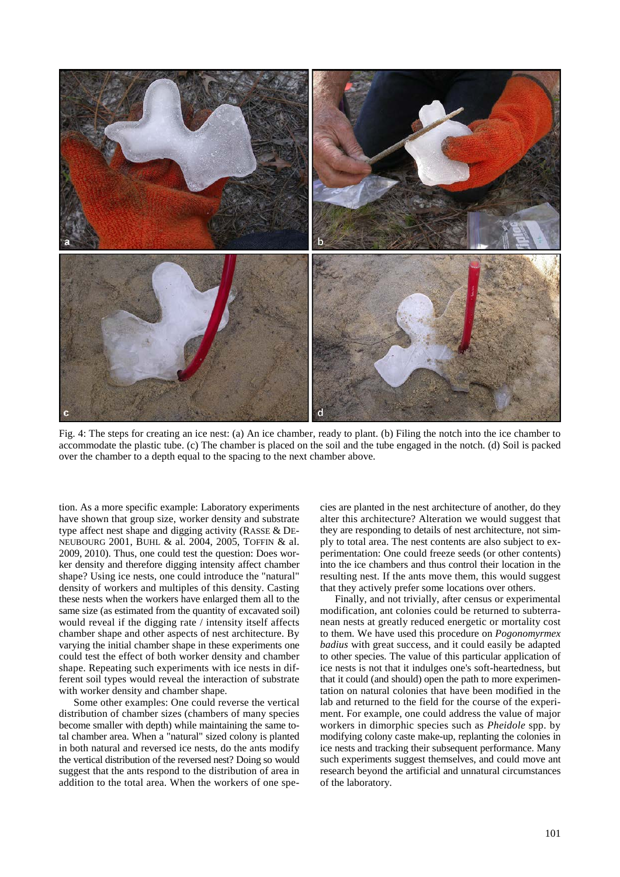

Fig. 4: The steps for creating an ice nest: (a) An ice chamber, ready to plant. (b) Filing the notch into the ice chamber to accommodate the plastic tube. (c) The chamber is placed on the soil and the tube engaged in the notch. (d) Soil is packed over the chamber to a depth equal to the spacing to the next chamber above.

tion. As a more specific example: Laboratory experiments have shown that group size, worker density and substrate type affect nest shape and digging activity (RASSE & DE-NEUBOURG 2001, BUHL & al. 2004, 2005, TOFFIN & al. 2009, 2010). Thus, one could test the question: Does worker density and therefore digging intensity affect chamber shape? Using ice nests, one could introduce the "natural" density of workers and multiples of this density. Casting these nests when the workers have enlarged them all to the same size (as estimated from the quantity of excavated soil) would reveal if the digging rate / intensity itself affects chamber shape and other aspects of nest architecture. By varying the initial chamber shape in these experiments one could test the effect of both worker density and chamber shape. Repeating such experiments with ice nests in different soil types would reveal the interaction of substrate with worker density and chamber shape.

Some other examples: One could reverse the vertical distribution of chamber sizes (chambers of many species become smaller with depth) while maintaining the same total chamber area. When a "natural" sized colony is planted in both natural and reversed ice nests, do the ants modify the vertical distribution of the reversed nest? Doing so would suggest that the ants respond to the distribution of area in addition to the total area. When the workers of one species are planted in the nest architecture of another, do they alter this architecture? Alteration we would suggest that they are responding to details of nest architecture, not simply to total area. The nest contents are also subject to experimentation: One could freeze seeds (or other contents) into the ice chambers and thus control their location in the resulting nest. If the ants move them, this would suggest that they actively prefer some locations over others.

Finally, and not trivially, after census or experimental modification, ant colonies could be returned to subterranean nests at greatly reduced energetic or mortality cost to them. We have used this procedure on *Pogonomyrmex badius* with great success, and it could easily be adapted to other species. The value of this particular application of ice nests is not that it indulges one's soft-heartedness, but that it could (and should) open the path to more experimentation on natural colonies that have been modified in the lab and returned to the field for the course of the experiment. For example, one could address the value of major workers in dimorphic species such as *Pheidole* spp. by modifying colony caste make-up, replanting the colonies in ice nests and tracking their subsequent performance. Many such experiments suggest themselves, and could move ant research beyond the artificial and unnatural circumstances of the laboratory.